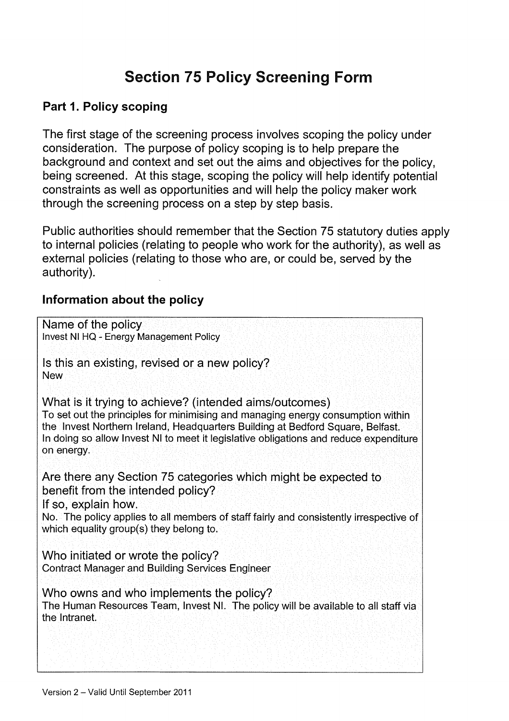# Section 75 Policy Screening Form

#### Part 1. Policy scoping

The first stage of the screening process involves scoping the policy under consideration. The purpose of policy scoping is to help prepare the background and context and set out the aims and objectives for the policy, being screened. At this stage, scoping the policy will help identify potential constraints as well as opportunities and will help the policy maker work through the screening process on a step by step basis.

Public authorities should remember that the Section 75 statutory duties apply to internal policies (relating to people who work for the authority), as well as external policies (relating to those who are, or could be, served by the authority).

#### Information about the policy

| Name of the policy<br>Invest NI HQ - Energy Management Policy                                                                                                                                                                                                                                                                      |
|------------------------------------------------------------------------------------------------------------------------------------------------------------------------------------------------------------------------------------------------------------------------------------------------------------------------------------|
| Is this an existing, revised or a new policy?<br><b>New</b>                                                                                                                                                                                                                                                                        |
| What is it trying to achieve? (intended aims/outcomes)<br>To set out the principles for minimising and managing energy consumption within<br>the Invest Northern Ireland, Headquarters Building at Bedford Square, Belfast.<br>In doing so allow Invest NI to meet it legislative obligations and reduce expenditure<br>on energy. |
| Are there any Section 75 categories which might be expected to<br>benefit from the intended policy?<br>If so, explain how.<br>No. The policy applies to all members of staff fairly and consistently irrespective of<br>which equality group(s) they belong to.                                                                    |
| Who initiated or wrote the policy?<br><b>Contract Manager and Building Services Engineer</b>                                                                                                                                                                                                                                       |
| Who owns and who implements the policy?<br>The Human Resources Team, Invest NI. The policy will be available to all staff via<br>the Intranet.                                                                                                                                                                                     |
|                                                                                                                                                                                                                                                                                                                                    |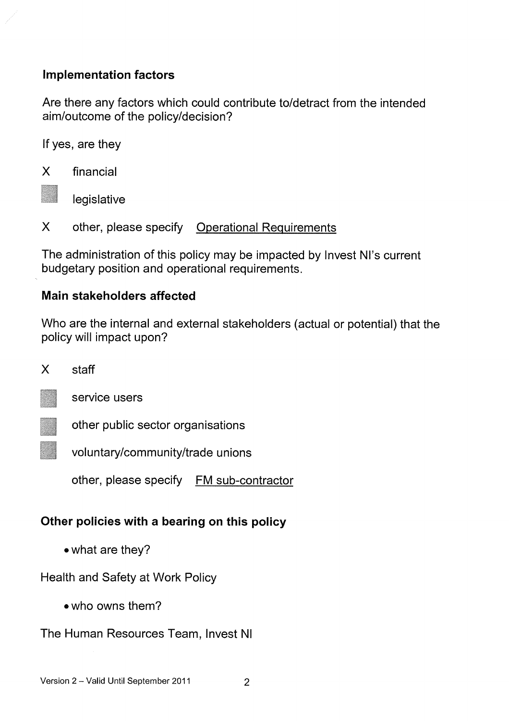#### Implementation factors

Are there any factors which could contribute to/detract from the intended aim/outcome of the policy/decision?

If yes, are they

X financial

legislative

X other, please specify Operational Requirements

The administration of this policy may be impacted by Invest NI's current budgetary position and operational requirements.

#### Main stakeholders affected

Who are the internal and external stakeholders (actual or potential) that the policy will impact upon?

X staff



service users

other public sector organisations

voluntary/community/trade unions

other, please specify FM sub-contractor

## Other policies with a bearing on this policy

• what are they?

Health and Safety at Work Policy

•who owns them?

The Human Resources Team, Invest NI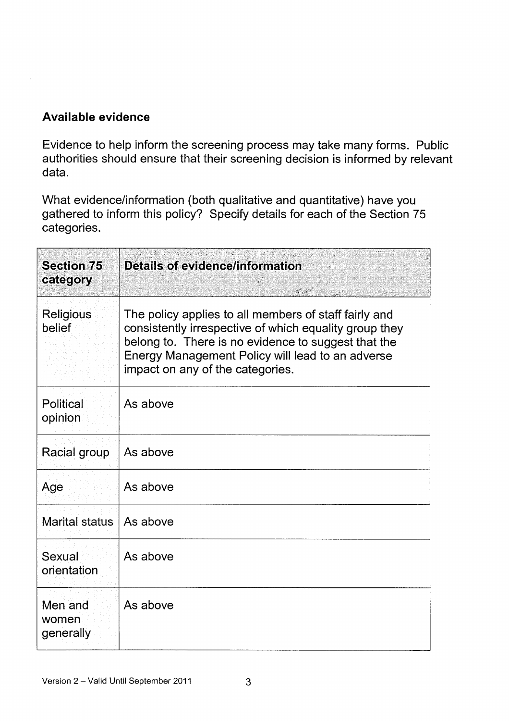#### Available evidence

Evidence to help inform the screening process may take many forms. Public authorities should ensure that their screening decision is informed by relevant data.

What evidence/information (both qualitative and quantitative) have you gathered to inform this policy? Specify details for each of the Section 75 categories.

| <b>Section 75</b><br>category | <b>Details of evidence/information</b>                                                                                                                                                                                                                         |
|-------------------------------|----------------------------------------------------------------------------------------------------------------------------------------------------------------------------------------------------------------------------------------------------------------|
| <b>Religious</b><br>belief    | The policy applies to all members of staff fairly and<br>consistently irrespective of which equality group they<br>belong to. There is no evidence to suggest that the<br>Energy Management Policy will lead to an adverse<br>impact on any of the categories. |
| Political<br>opinion          | As above                                                                                                                                                                                                                                                       |
| Racial group                  | As above                                                                                                                                                                                                                                                       |
| Age                           | As above                                                                                                                                                                                                                                                       |
| Marital status                | As above                                                                                                                                                                                                                                                       |
| Sexual<br>orientation         | As above                                                                                                                                                                                                                                                       |
| Men and<br>women<br>generally | As above                                                                                                                                                                                                                                                       |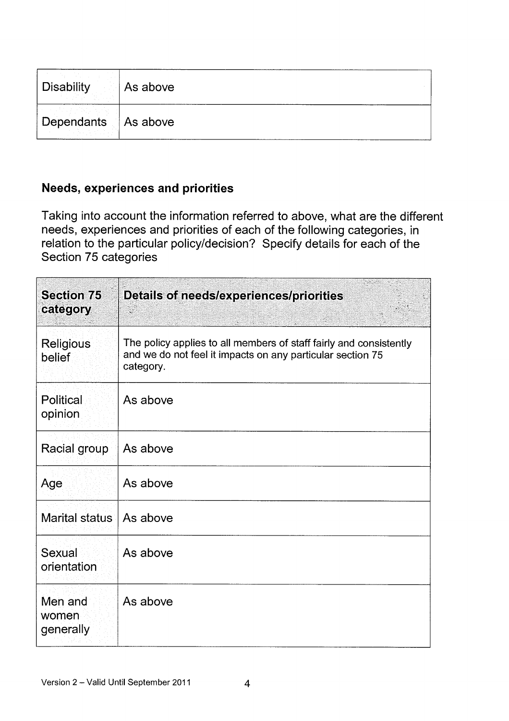| Disability            | As above |
|-----------------------|----------|
| Dependants   As above |          |

## Needs, experiences and priorities

Taking into account the information referred to above, what are the different needs, experiences and priorities of each of the following categories, in relation to the particular policy/decision? Specify details for each of the Section 75 categories

| <b>Section 75</b><br>category | <b>Details of needs/experiences/priorities</b><br>$\mathcal{L}^{\mathcal{L}}$                                                                 |
|-------------------------------|-----------------------------------------------------------------------------------------------------------------------------------------------|
| <b>Religious</b><br>belief    | The policy applies to all members of staff fairly and consistently<br>and we do not feel it impacts on any particular section 75<br>category. |
| Political<br>opinion          | As above                                                                                                                                      |
| Racial group                  | As above                                                                                                                                      |
| Age                           | As above                                                                                                                                      |
| Marital status                | As above                                                                                                                                      |
| Sexual<br>orientation         | As above                                                                                                                                      |
| Men and<br>women<br>generally | As above                                                                                                                                      |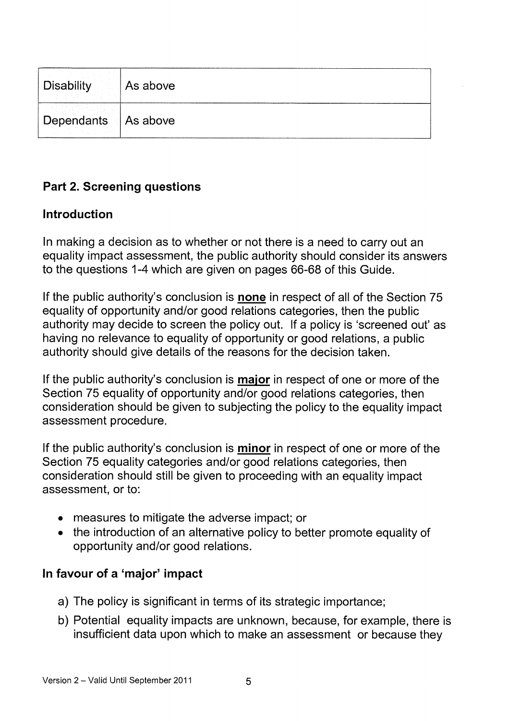| Disability   As above |  |
|-----------------------|--|
| Dependants   As above |  |

## Part 2. Screening questions

#### Introduction

In making a decision as to whether or not there is a need to carry out an equality impact assessment, the public authority should consider its answers to the questions 1-4 which are given on pages 66-68 of this Guide.

If the public authority's conclusion is none in respect of all of the Section 75 equality of opportunity and/or good relations categories, then the public authority may decide to screen the policy out. If a policy is 'screened out' as having no relevance to equality of opportunity or good relations, a public authority should give details of the reasons for the decision taken.

If the public authority's conclusion is **major** in respect of one or more of the Section 75 equality of opportunity and/or good relations categories, then consideration should be given to subjecting the policy to the equality impact assessment procedure.

If the public authority's conclusion is minor in respect of one or more of the Section 75 equality categories and/or good relations categories, then consideration should still be given to proceeding with an equality impact assessment, or to:

- measures to mitigate the adverse impact; or
- the introduction of an alternative policy to better promote equality of opportunity and/or good relations.

#### In favour of a 'major' impact

- a) The policy is significant in terms of its strategic importance;
- b) Potential equality impacts are unknown, because, for example, there is insufficient data upon which to make an assessment or because they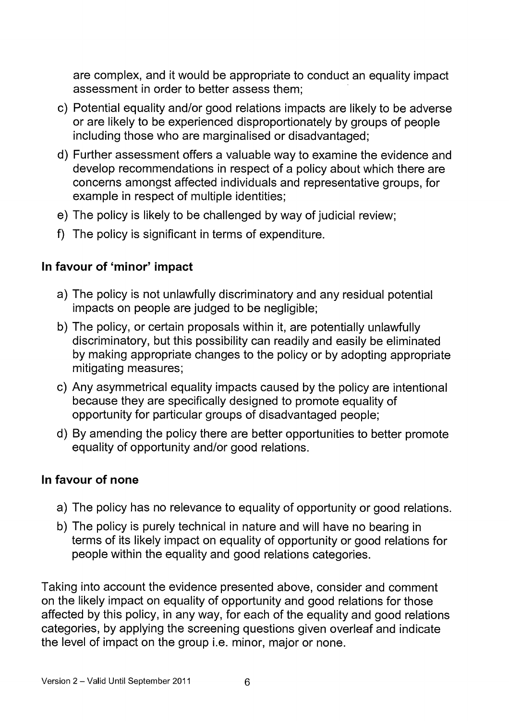are complex, and it would be appropriate to conduct an equality impact assessment in order to better assess them;

- c) Potential equality and/or good relations impacts are likely to be adverse or are likely to be experienced disproportionately by groups of people including those who are marginalised or disadvantaged;
- d) Further assessment offers a valuable way to examine the evidence and develop recommendations in respect of a policy about which there are concerns amongst affected individuals and representative groups, for example in respect of multiple identities;
- e) The policy is likely to be challenged by way of judicial review;
- f) The policy is significant in terms of expenditure.

#### In favour of 'minor' impact

- a) The policy is not unlawfully discriminatory and any residual potential impacts on people are judged to be negligible;
- b) The policy, or certain proposals within it, are potentially unlawfully discriminatory, but this possibility can readily and easily be eliminated by making appropriate changes to the policy or by adopting appropriate mitigating measures;
- c) Any asymmetrical equality impacts caused by the policy are intentional because they are specifically designed to promote equality of opportunity for particular groups of disadvantaged people;
- d) By amending the policy there are better opportunities to better promote equality of opportunity and/or good relations.

#### In favour of none

- a) The policy has no relevance to equality of opportunity or good relations.
- b) The policy is purely technical in nature and will have no bearing in terms of its likely impact on equality of opportunity or good relations for people within the equality and good relations categories.

Taking into account the evidence presented above, consider and comment on the likely impact on equality of opportunity and good relations for those affected by this policy, in any way, for each of the equality and good relations categories, by applying the screening questions given overleaf and indicate the level of impact on the group i.e. minor, major or none.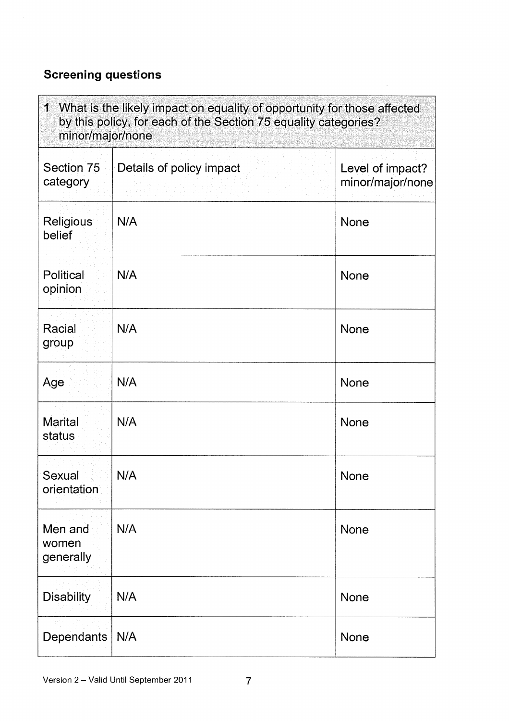## Screening questions

| 1 What is the likely impact on equality of opportunity for those affected<br>by this policy, for each of the Section 75 equality categories?<br>minor/major/none |                          |                                      |
|------------------------------------------------------------------------------------------------------------------------------------------------------------------|--------------------------|--------------------------------------|
| Section 75<br>category                                                                                                                                           | Details of policy impact | Level of impact?<br>minor/major/none |
| <b>Religious</b><br>belief                                                                                                                                       | N/A                      | None                                 |
| Political<br>opinion                                                                                                                                             | N/A                      | None                                 |
| Racial<br>group                                                                                                                                                  | N/A                      | <b>None</b>                          |
| Age                                                                                                                                                              | N/A                      | None                                 |
| <b>Marital</b><br>status                                                                                                                                         | N/A                      | None                                 |
| Sexual<br>orientation                                                                                                                                            | N/A                      | None                                 |
| Men and<br>women<br>generally                                                                                                                                    | N/A                      | None                                 |
| <b>Disability</b>                                                                                                                                                | N/A                      | None                                 |
| Dependants                                                                                                                                                       | N/A                      | None                                 |

 $\mathcal{A}^{\pm}$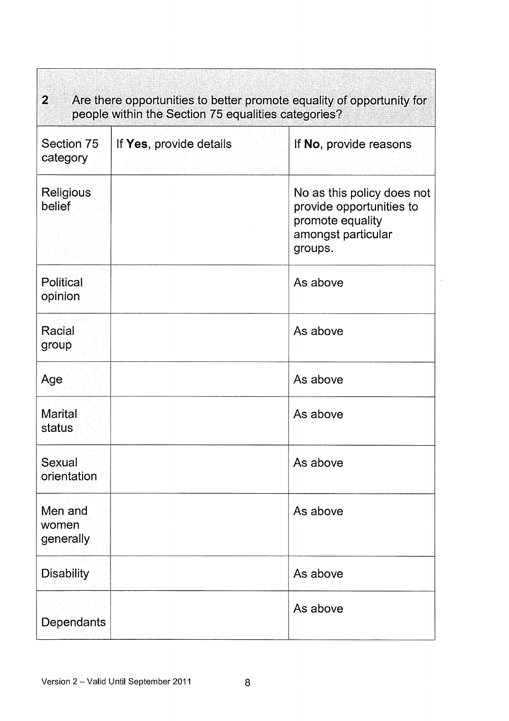| $\mathbf{2}$<br>Are there opportunities to better promote equality of opportunity for<br>people within the Section 75 equalities categories? |                         |                                                                                                             |  |
|----------------------------------------------------------------------------------------------------------------------------------------------|-------------------------|-------------------------------------------------------------------------------------------------------------|--|
| Section 75<br>category                                                                                                                       | If Yes, provide details | If No, provide reasons                                                                                      |  |
| Religious<br>belief                                                                                                                          |                         | No as this policy does not<br>provide opportunities to<br>promote equality<br>amongst particular<br>groups. |  |
| Political<br>opinion                                                                                                                         |                         | As above                                                                                                    |  |
| Racial<br>group                                                                                                                              |                         | As above                                                                                                    |  |
| Age                                                                                                                                          |                         | As above                                                                                                    |  |
| <b>Marital</b><br>status                                                                                                                     |                         | As above                                                                                                    |  |
| Sexual<br>orientation                                                                                                                        |                         | As above                                                                                                    |  |
| Men and<br>women<br>generally                                                                                                                |                         | As above                                                                                                    |  |
| <b>Disability</b>                                                                                                                            |                         | As above                                                                                                    |  |
| Dependants                                                                                                                                   |                         | As above                                                                                                    |  |

÷,

 $\tilde{\mathcal{A}}$ 

 $\mathbb{E}$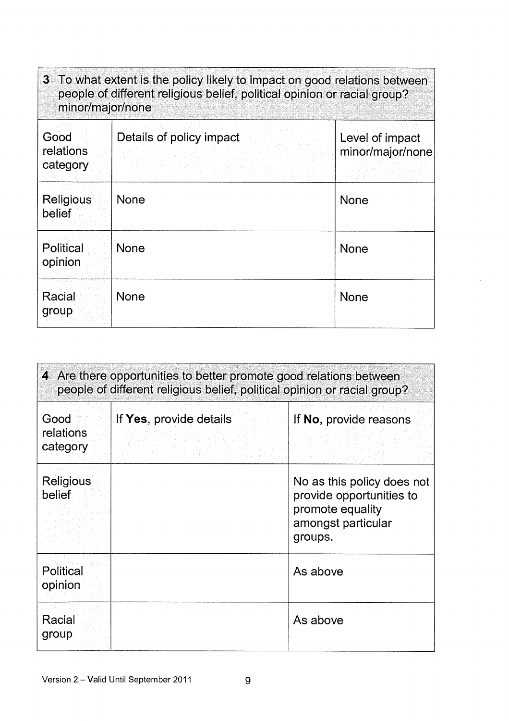| 3 To what extent is the policy likely to impact on good relations between<br>people of different religious belief, political opinion or racial group?<br>minor/major/none |                          |                                     |
|---------------------------------------------------------------------------------------------------------------------------------------------------------------------------|--------------------------|-------------------------------------|
| Good<br>relations<br>category                                                                                                                                             | Details of policy impact | Level of impact<br>minor/major/none |
| Religious<br>belief                                                                                                                                                       | None                     | None                                |
| Political<br>opinion                                                                                                                                                      | None                     | <b>None</b>                         |
| Racial<br>group                                                                                                                                                           | None                     | <b>None</b>                         |

k,

| 4 Are there opportunities to better promote good relations between<br>people of different religious belief, political opinion or racial group? |                         |                                                                                                             |
|------------------------------------------------------------------------------------------------------------------------------------------------|-------------------------|-------------------------------------------------------------------------------------------------------------|
| Good<br>relations<br>category                                                                                                                  | If Yes, provide details | If No, provide reasons                                                                                      |
| Religious<br>belief                                                                                                                            |                         | No as this policy does not<br>provide opportunities to<br>promote equality<br>amongst particular<br>groups. |
| Political<br>opinion                                                                                                                           |                         | As above                                                                                                    |
| Racial<br>group                                                                                                                                |                         | As above                                                                                                    |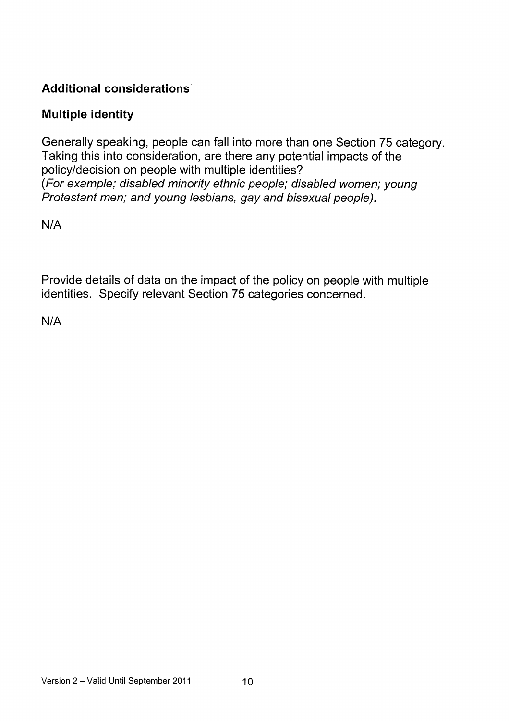## Additional considerations

#### Multiple identity

Generally speaking, people can fall into more than one Section 75 category. Taking this into consideration, are there any potential impacts of the policy/decision on people with multiple identities? (For example; disabled minority ethnic people; disabled women; young Protestant men; and young lesbians, gay and bisexual people).

N/A

Provide details of data on the impact of the policy on people with multiple identities. Specify relevant Section 75 categories concerned.

N/A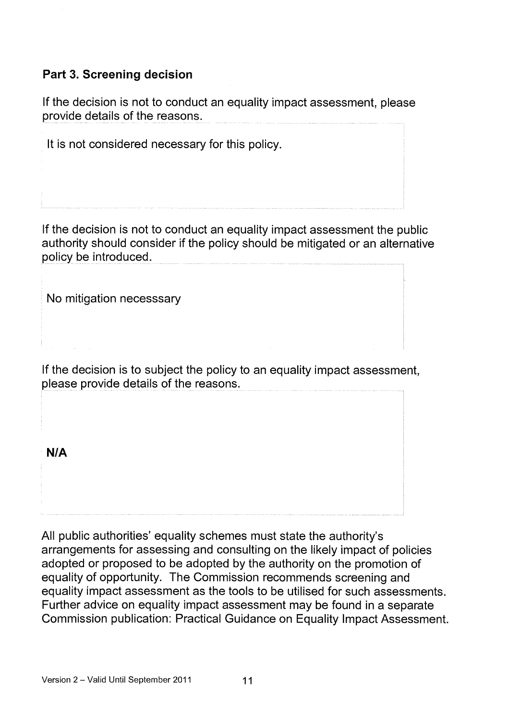#### Part 3. Screening decision

If the decision is not to conduct an equality impact assessment, please provide details of the reasons.

It is not considered necessary for this policy.

If the decision is not to conduct an equality impact assessment the public authority should consider if the policy should be mitigated or an alternative policy be introduced.

No mitigation necesssary

If the decision is to subject the policy to an equality impact assessment, please provide details of the reasons.

NIA

All public authorities' equality schemes must state the authority's arrangements for assessing and consulting on the likely impact of policies adopted or proposed to be adopted by the authority on the promotion of equality of opportunity. The Commission recommends screening and equality impact assessment as the tools to be utilised for such assessments. Further advice on equality impact assessment may be found in a separate Commission publication: Practical Guidance on Equality Impact Assessment.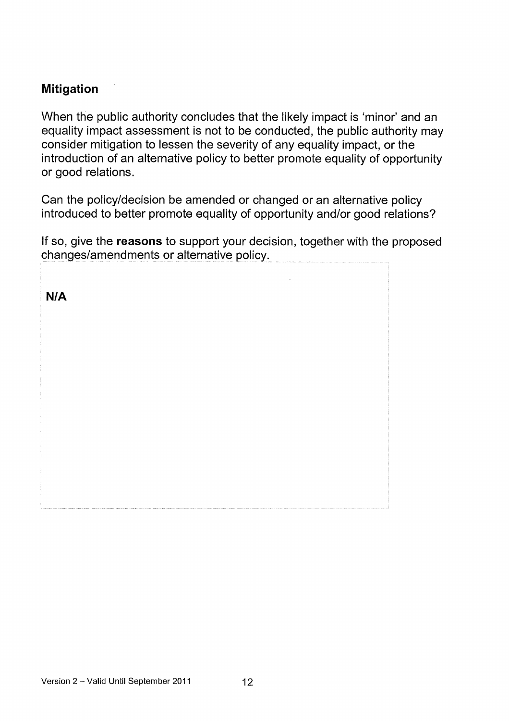#### Mitigation

When the public authority concludes that the likely impact is 'minor' and an equality impact assessment is not to be conducted, the public authority may consider mitigation to lessen the severity of any equality impact, or the introduction of an alternative policy to better promote equality of opportunity or good relations.

Can the policy/decision be amended or changed or an alternative policy introduced to better promote equality of opportunity and/or good relations?

If so, give the reasons to support your decision, together with the proposed changes/amendments or alternative policy.

N/A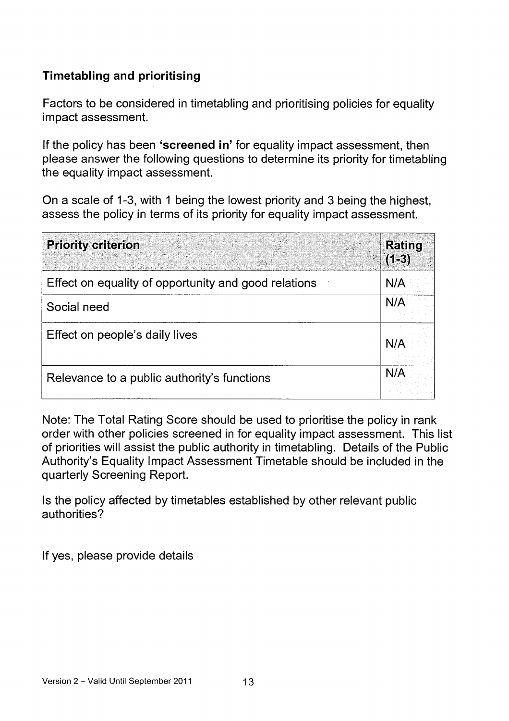## Timetabling and prioritising

Factors to be considered in timetabling and prioritising policies for equality impact assessment.

If the policy has been 'screened in' for equality impact assessment, then please answer the following questions to determine its priority for timetabling the equality impact assessment.

On a scale of 1-3, with 1 being the lowest priority and 3 being the highest, assess the policy in terms of its priority for equality impact assessment.

| <b>Priority criterion</b>                            | <b>Rating</b><br>$(1-3)$ |
|------------------------------------------------------|--------------------------|
| Effect on equality of opportunity and good relations | N/A                      |
| Social need                                          | N/A                      |
| Effect on people's daily lives                       | N/A                      |
| Relevance to a public authority's functions          | N/A                      |

Note: The Total Rating Score should be used to prioritise the policy in rank order with other policies screened in for equality impact assessment. This list of priorities will assist the public authority in timetabling. Details of the Public Authority's Equality Impact Assessment Timetable should be included in the quarterly Screening Report.

Is the policy affected by timetables established by other relevant public authorities?

If yes, please provide details